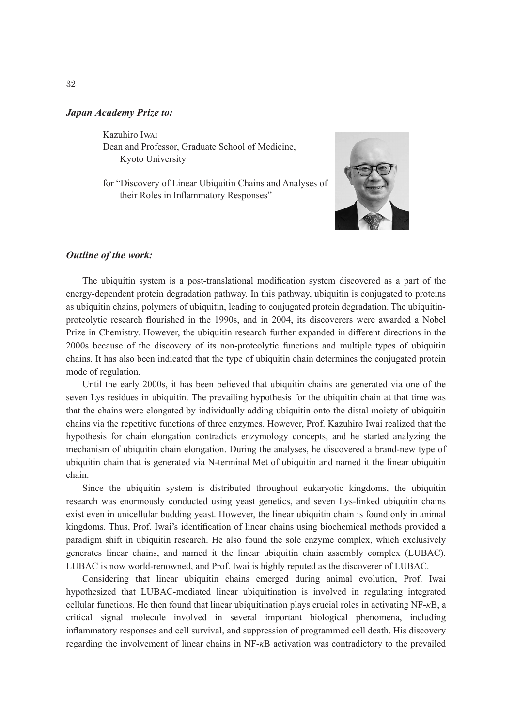## *Japan Academy Prize to:*

Kazuhiro Iwai

Dean and Professor, Graduate School of Medicine, Kyoto University

for "Discovery of Linear Ubiquitin Chains and Analyses of their Roles in Inflammatory Responses"



## *Outline of the work:*

The ubiquitin system is a post-translational modification system discovered as a part of the energy-dependent protein degradation pathway. In this pathway, ubiquitin is conjugated to proteins as ubiquitin chains, polymers of ubiquitin, leading to conjugated protein degradation. The ubiquitinproteolytic research flourished in the 1990s, and in 2004, its discoverers were awarded a Nobel Prize in Chemistry. However, the ubiquitin research further expanded in different directions in the 2000s because of the discovery of its non-proteolytic functions and multiple types of ubiquitin chains. It has also been indicated that the type of ubiquitin chain determines the conjugated protein mode of regulation.

Until the early 2000s, it has been believed that ubiquitin chains are generated via one of the seven Lys residues in ubiquitin. The prevailing hypothesis for the ubiquitin chain at that time was that the chains were elongated by individually adding ubiquitin onto the distal moiety of ubiquitin chains via the repetitive functions of three enzymes. However, Prof. Kazuhiro Iwai realized that the hypothesis for chain elongation contradicts enzymology concepts, and he started analyzing the mechanism of ubiquitin chain elongation. During the analyses, he discovered a brand-new type of ubiquitin chain that is generated via N-terminal Met of ubiquitin and named it the linear ubiquitin chain.

Since the ubiquitin system is distributed throughout eukaryotic kingdoms, the ubiquitin research was enormously conducted using yeast genetics, and seven Lys-linked ubiquitin chains exist even in unicellular budding yeast. However, the linear ubiquitin chain is found only in animal kingdoms. Thus, Prof. Iwai's identification of linear chains using biochemical methods provided a paradigm shift in ubiquitin research. He also found the sole enzyme complex, which exclusively generates linear chains, and named it the linear ubiquitin chain assembly complex (LUBAC). LUBAC is now world-renowned, and Prof. Iwai is highly reputed as the discoverer of LUBAC.

Considering that linear ubiquitin chains emerged during animal evolution, Prof. Iwai hypothesized that LUBAC-mediated linear ubiquitination is involved in regulating integrated cellular functions. He then found that linear ubiquitination plays crucial roles in activating NF-*κ*B, a critical signal molecule involved in several important biological phenomena, including inflammatory responses and cell survival, and suppression of programmed cell death. His discovery regarding the involvement of linear chains in NF-*κ*B activation was contradictory to the prevailed

32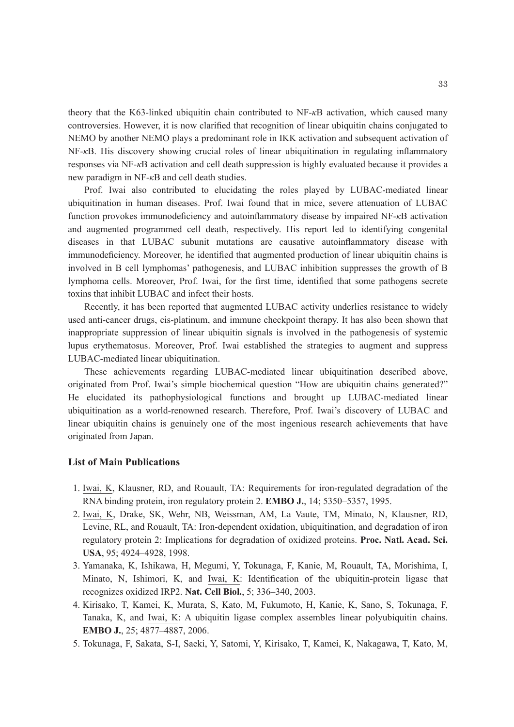theory that the K63-linked ubiquitin chain contributed to NF-*κ*B activation, which caused many controversies. However, it is now clarified that recognition of linear ubiquitin chains conjugated to NEMO by another NEMO plays a predominant role in IKK activation and subsequent activation of NF-*κ*B. His discovery showing crucial roles of linear ubiquitination in regulating inflammatory responses via NF-*κ*B activation and cell death suppression is highly evaluated because it provides a new paradigm in NF-*κ*B and cell death studies.

Prof. Iwai also contributed to elucidating the roles played by LUBAC-mediated linear ubiquitination in human diseases. Prof. Iwai found that in mice, severe attenuation of LUBAC function provokes immunodeficiency and autoinflammatory disease by impaired NF-*κ*B activation and augmented programmed cell death, respectively. His report led to identifying congenital diseases in that LUBAC subunit mutations are causative autoinflammatory disease with immunodeficiency. Moreover, he identified that augmented production of linear ubiquitin chains is involved in B cell lymphomas' pathogenesis, and LUBAC inhibition suppresses the growth of B lymphoma cells. Moreover, Prof. Iwai, for the first time, identified that some pathogens secrete toxins that inhibit LUBAC and infect their hosts.

Recently, it has been reported that augmented LUBAC activity underlies resistance to widely used anti-cancer drugs, cis-platinum, and immune checkpoint therapy. It has also been shown that inappropriate suppression of linear ubiquitin signals is involved in the pathogenesis of systemic lupus erythematosus. Moreover, Prof. Iwai established the strategies to augment and suppress LUBAC-mediated linear ubiquitination.

These achievements regarding LUBAC-mediated linear ubiquitination described above, originated from Prof. Iwai's simple biochemical question "How are ubiquitin chains generated?" He elucidated its pathophysiological functions and brought up LUBAC-mediated linear ubiquitination as a world-renowned research. Therefore, Prof. Iwai's discovery of LUBAC and linear ubiquitin chains is genuinely one of the most ingenious research achievements that have originated from Japan.

## **List of Main Publications**

- 1. Iwai, K, Klausner, RD, and Rouault, TA: Requirements for iron-regulated degradation of the RNA binding protein, iron regulatory protein 2. **EMBO J.**, 14; 5350–5357, 1995.
- 2. Iwai, K, Drake, SK, Wehr, NB, Weissman, AM, La Vaute, TM, Minato, N, Klausner, RD, Levine, RL, and Rouault, TA: Iron-dependent oxidation, ubiquitination, and degradation of iron regulatory protein 2: Implications for degradation of oxidized proteins. **Proc. Natl. Acad. Sci. USA**, 95; 4924–4928, 1998.
- 3. Yamanaka, K, Ishikawa, H, Megumi, Y, Tokunaga, F, Kanie, M, Rouault, TA, Morishima, I, Minato, N, Ishimori, K, and Iwai, K: Identification of the ubiquitin-protein ligase that recognizes oxidized IRP2. **Nat. Cell Biol.**, 5; 336–340, 2003.
- 4. Kirisako, T, Kamei, K, Murata, S, Kato, M, Fukumoto, H, Kanie, K, Sano, S, Tokunaga, F, Tanaka, K, and Iwai, K: A ubiquitin ligase complex assembles linear polyubiquitin chains. **EMBO J.**, 25; 4877–4887, 2006.
- 5. Tokunaga, F, Sakata, S-I, Saeki, Y, Satomi, Y, Kirisako, T, Kamei, K, Nakagawa, T, Kato, M,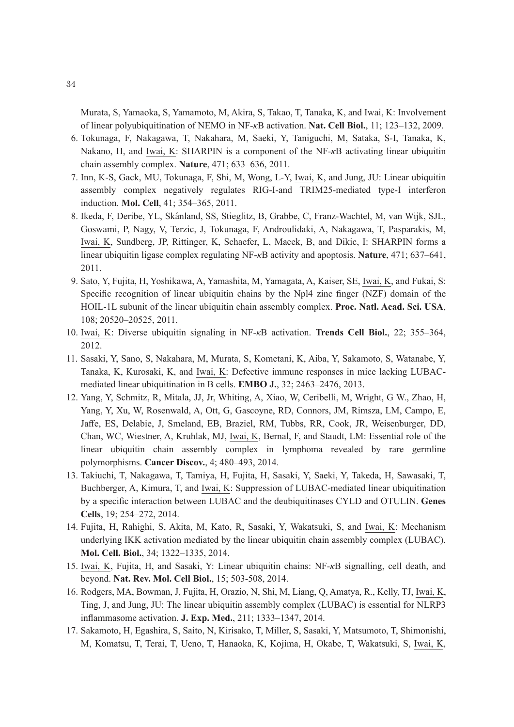Murata, S, Yamaoka, S, Yamamoto, M, Akira, S, Takao, T, Tanaka, K, and Iwai, K: Involvement of linear polyubiquitination of NEMO in NF-*κ*B activation. **Nat. Cell Biol.**, 11; 123–132, 2009.

- 6. Tokunaga, F, Nakagawa, T, Nakahara, M, Saeki, Y, Taniguchi, M, Sataka, S-I, Tanaka, K, Nakano, H, and Iwai, K: SHARPIN is a component of the NF-*κ*B activating linear ubiquitin chain assembly complex. **Nature**, 471; 633–636, 2011.
- 7. Inn, K-S, Gack, MU, Tokunaga, F, Shi, M, Wong, L-Y, Iwai, K, and Jung, JU: Linear ubiquitin assembly complex negatively regulates RIG-I-and TRIM25-mediated type-I interferon induction. **Mol. Cell**, 41; 354–365, 2011.
- 8. Ikeda, F, Deribe, YL, Skånland, SS, Stieglitz, B, Grabbe, C, Franz-Wachtel, M, van Wijk, SJL, Goswami, P, Nagy, V, Terzic, J, Tokunaga, F, Androulidaki, A, Nakagawa, T, Pasparakis, M, Iwai, K, Sundberg, JP, Rittinger, K, Schaefer, L, Macek, B, and Dikic, I: SHARPIN forms a linear ubiquitin ligase complex regulating NF-*κ*B activity and apoptosis. **Nature**, 471; 637–641, 2011.
- 9. Sato, Y, Fujita, H, Yoshikawa, A, Yamashita, M, Yamagata, A, Kaiser, SE, Iwai, K, and Fukai, S: Specific recognition of linear ubiquitin chains by the Npl4 zinc finger (NZF) domain of the HOIL-1L subunit of the linear ubiquitin chain assembly complex. **Proc. Natl. Acad. Sci. USA**, 108; 20520–20525, 2011.
- 10. Iwai, K: Diverse ubiquitin signaling in NF-*κ*B activation. **Trends Cell Biol.**, 22; 355–364, 2012.
- 11. Sasaki, Y, Sano, S, Nakahara, M, Murata, S, Kometani, K, Aiba, Y, Sakamoto, S, Watanabe, Y, Tanaka, K, Kurosaki, K, and Iwai, K: Defective immune responses in mice lacking LUBACmediated linear ubiquitination in B cells. **EMBO J.**, 32; 2463–2476, 2013.
- 12. Yang, Y, Schmitz, R, Mitala, JJ, Jr, Whiting, A, Xiao, W, Ceribelli, M, Wright, G W., Zhao, H, Yang, Y, Xu, W, Rosenwald, A, Ott, G, Gascoyne, RD, Connors, JM, Rimsza, LM, Campo, E, Jaffe, ES, Delabie, J, Smeland, EB, Braziel, RM, Tubbs, RR, Cook, JR, Weisenburger, DD, Chan, WC, Wiestner, A, Kruhlak, MJ, Iwai, K, Bernal, F, and Staudt, LM: Essential role of the linear ubiquitin chain assembly complex in lymphoma revealed by rare germline polymorphisms. **Cancer Discov.**, 4; 480–493, 2014.
- 13. Takiuchi, T, Nakagawa, T, Tamiya, H, Fujita, H, Sasaki, Y, Saeki, Y, Takeda, H, Sawasaki, T, Buchberger, A, Kimura, T, and Iwai, K: Suppression of LUBAC-mediated linear ubiquitination by a specific interaction between LUBAC and the deubiquitinases CYLD and OTULIN. **Genes Cells**, 19; 254–272, 2014.
- 14. Fujita, H, Rahighi, S, Akita, M, Kato, R, Sasaki, Y, Wakatsuki, S, and Iwai, K: Mechanism underlying IKK activation mediated by the linear ubiquitin chain assembly complex (LUBAC). **Mol. Cell. Biol.**, 34; 1322–1335, 2014.
- 15. Iwai, K, Fujita, H, and Sasaki, Y: Linear ubiquitin chains: NF-*κ*B signalling, cell death, and beyond. **Nat. Rev. Mol. Cell Biol.**, 15; 503-508, 2014.
- 16. Rodgers, MA, Bowman, J, Fujita, H, Orazio, N, Shi, M, Liang, Q, Amatya, R., Kelly, TJ, Iwai, K, Ting, J, and Jung, JU: The linear ubiquitin assembly complex (LUBAC) is essential for NLRP3 inflammasome activation. **J. Exp. Med.**, 211; 1333–1347, 2014.
- 17. Sakamoto, H, Egashira, S, Saito, N, Kirisako, T, Miller, S, Sasaki, Y, Matsumoto, T, Shimonishi, M, Komatsu, T, Terai, T, Ueno, T, Hanaoka, K, Kojima, H, Okabe, T, Wakatsuki, S, Iwai, K,